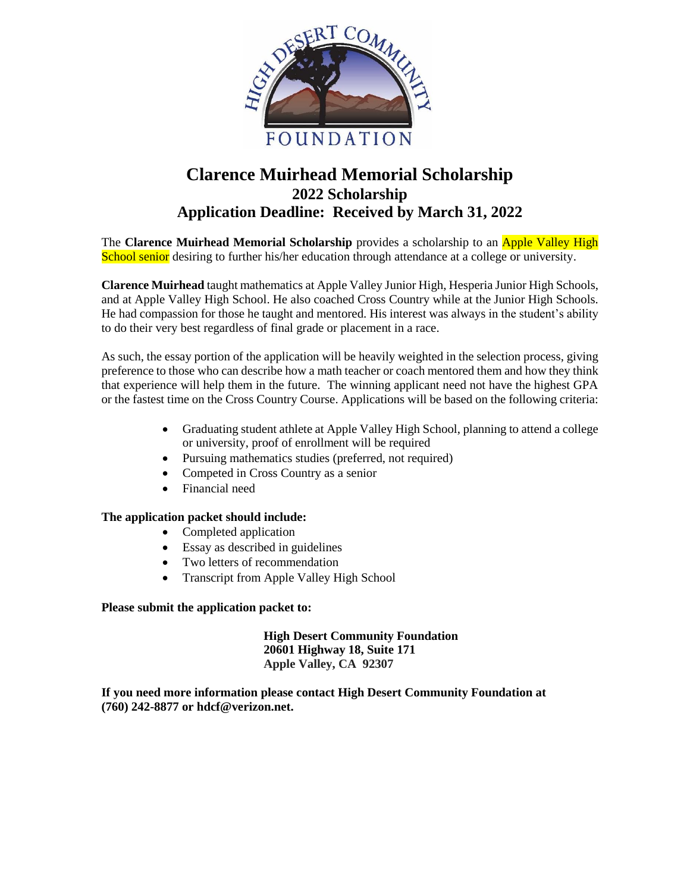

# **Clarence Muirhead Memorial Scholarship 2022 Scholarship Application Deadline: Received by March 31, 2022**

The **Clarence Muirhead Memorial Scholarship** provides a scholarship to an Apple Valley High School senior desiring to further his/her education through attendance at a college or university.

**Clarence Muirhead** taught mathematics at Apple Valley Junior High, Hesperia Junior High Schools, and at Apple Valley High School. He also coached Cross Country while at the Junior High Schools. He had compassion for those he taught and mentored. His interest was always in the student's ability to do their very best regardless of final grade or placement in a race.

As such, the essay portion of the application will be heavily weighted in the selection process, giving preference to those who can describe how a math teacher or coach mentored them and how they think that experience will help them in the future. The winning applicant need not have the highest GPA or the fastest time on the Cross Country Course. Applications will be based on the following criteria:

- Graduating student athlete at Apple Valley High School, planning to attend a college or university, proof of enrollment will be required
- Pursuing mathematics studies (preferred, not required)
- Competed in Cross Country as a senior
- Financial need

### **The application packet should include:**

- Completed application
- Essay as described in guidelines
- Two letters of recommendation
- Transcript from Apple Valley High School

### **Please submit the application packet to:**

**High Desert Community Foundation 20601 Highway 18, Suite 171 Apple Valley, CA 92307**

**If you need more information please contact High Desert Community Foundation at (760) 242-8877 or hdcf@verizon.net.**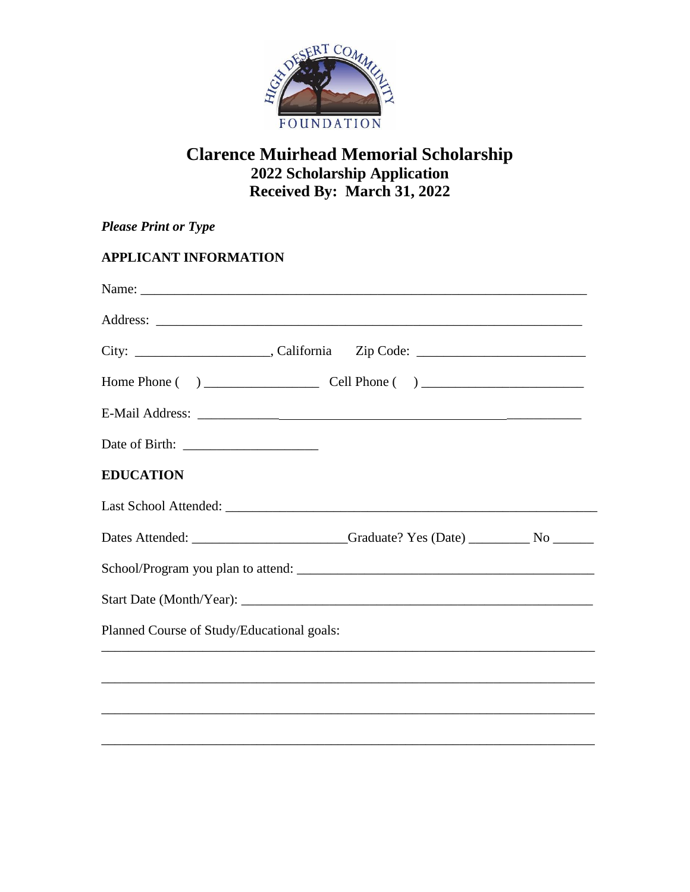

# **Clarence Muirhead Memorial Scholarship 2022 Scholarship Application Received By: March 31, 2022**

| <b>Please Print or Type</b>                |  |
|--------------------------------------------|--|
| <b>APPLICANT INFORMATION</b>               |  |
|                                            |  |
|                                            |  |
|                                            |  |
|                                            |  |
|                                            |  |
|                                            |  |
| <b>EDUCATION</b>                           |  |
|                                            |  |
|                                            |  |
|                                            |  |
|                                            |  |
| Planned Course of Study/Educational goals: |  |
|                                            |  |
|                                            |  |
|                                            |  |
|                                            |  |